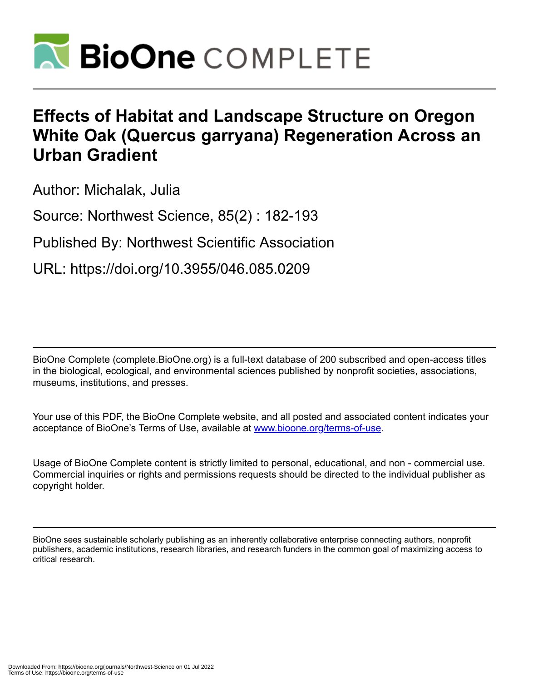

# **Effects of Habitat and Landscape Structure on Oregon White Oak (Quercus garryana) Regeneration Across an Urban Gradient**

Author: Michalak, Julia

Source: Northwest Science, 85(2) : 182-193

Published By: Northwest Scientific Association

URL: https://doi.org/10.3955/046.085.0209

BioOne Complete (complete.BioOne.org) is a full-text database of 200 subscribed and open-access titles in the biological, ecological, and environmental sciences published by nonprofit societies, associations, museums, institutions, and presses.

Your use of this PDF, the BioOne Complete website, and all posted and associated content indicates your acceptance of BioOne's Terms of Use, available at www.bioone.org/terms-of-use.

Usage of BioOne Complete content is strictly limited to personal, educational, and non - commercial use. Commercial inquiries or rights and permissions requests should be directed to the individual publisher as copyright holder.

BioOne sees sustainable scholarly publishing as an inherently collaborative enterprise connecting authors, nonprofit publishers, academic institutions, research libraries, and research funders in the common goal of maximizing access to critical research.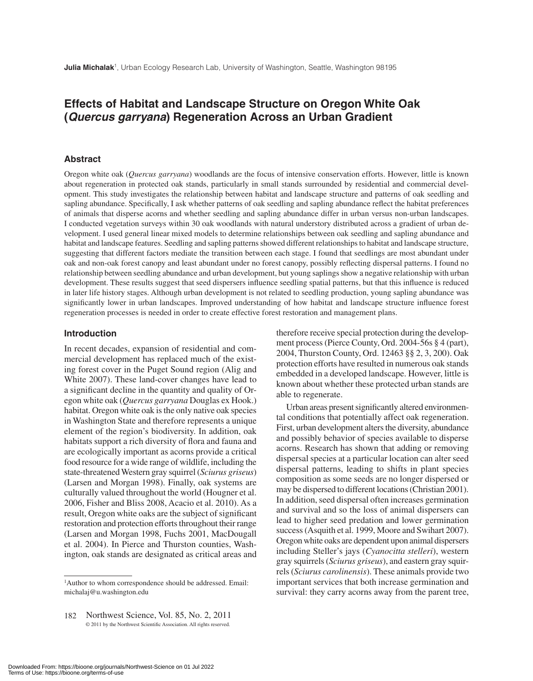# **Effects of Habitat and Landscape Structure on Oregon White Oak (***Quercus garryana***) Regeneration Across an Urban Gradient**

#### **Abstract**

Oregon white oak (*Quercus garryana*) woodlands are the focus of intensive conservation efforts. However, little is known about regeneration in protected oak stands, particularly in small stands surrounded by residential and commercial development. This study investigates the relationship between habitat and landscape structure and patterns of oak seedling and sapling abundance. Specifically, I ask whether patterns of oak seedling and sapling abundance reflect the habitat preferences of animals that disperse acorns and whether seedling and sapling abundance differ in urban versus non-urban landscapes. I conducted vegetation surveys within 30 oak woodlands with natural understory distributed across a gradient of urban development. I used general linear mixed models to determine relationships between oak seedling and sapling abundance and habitat and landscape features. Seedling and sapling patterns showed different relationships to habitat and landscape structure, suggesting that different factors mediate the transition between each stage. I found that seedlings are most abundant under oak and non-oak forest canopy and least abundant under no forest canopy, possibly reflecting dispersal patterns. I found no relationship between seedling abundance and urban development, but young saplings show a negative relationship with urban development. These results suggest that seed dispersers influence seedling spatial patterns, but that this influence is reduced in later life history stages. Although urban development is not related to seedling production, young sapling abundance was significantly lower in urban landscapes. Improved understanding of how habitat and landscape structure influence forest regeneration processes is needed in order to create effective forest restoration and management plans.

#### **Introduction**

In recent decades, expansion of residential and commercial development has replaced much of the existing forest cover in the Puget Sound region (Alig and White 2007). These land-cover changes have lead to a significant decline in the quantity and quality of Oregon white oak (*Quercus garryana* Douglas ex Hook.) habitat. Oregon white oak is the only native oak species in Washington State and therefore represents a unique element of the region's biodiversity. In addition, oak habitats support a rich diversity of flora and fauna and are ecologically important as acorns provide a critical food resource for a wide range of wildlife, including the state-threatened Western gray squirrel (*Sciurus griseus*) (Larsen and Morgan 1998). Finally, oak systems are culturally valued throughout the world (Hougner et al. 2006, Fisher and Bliss 2008, Acacio et al. 2010). As a result, Oregon white oaks are the subject of significant restoration and protection efforts throughout their range (Larsen and Morgan 1998, Fuchs 2001, MacDougall et al. 2004). In Pierce and Thurston counties, Washington, oak stands are designated as critical areas and

therefore receive special protection during the development process (Pierce County, Ord. 2004-56s § 4 (part), 2004, Thurston County, Ord. 12463 §§ 2, 3, 200). Oak protection efforts have resulted in numerous oak stands embedded in a developed landscape. However, little is known about whether these protected urban stands are able to regenerate.

Urban areas present significantly altered environmental conditions that potentially affect oak regeneration. First, urban development alters the diversity, abundance and possibly behavior of species available to disperse acorns. Research has shown that adding or removing dispersal species at a particular location can alter seed dispersal patterns, leading to shifts in plant species composition as some seeds are no longer dispersed or may be dispersed to different locations (Christian 2001). In addition, seed dispersal often increases germination and survival and so the loss of animal dispersers can lead to higher seed predation and lower germination success (Asquith et al. 1999, Moore and Swihart 2007). Oregon white oaks are dependent upon animal dispersers including Steller's jays (*Cyanocitta stelleri*), western gray squirrels (*Sciurus griseus*), and eastern gray squirrels (*Sciurus carolinensis*). These animals provide two important services that both increase germination and survival: they carry acorns away from the parent tree,

<sup>1</sup>Author to whom correspondence should be addressed. Email: michalaj@u.washington.edu

<sup>182</sup> Northwest Science, Vol. 85, No. 2, 2011 © 2011 by the Northwest Scientific Association. All rights reserved.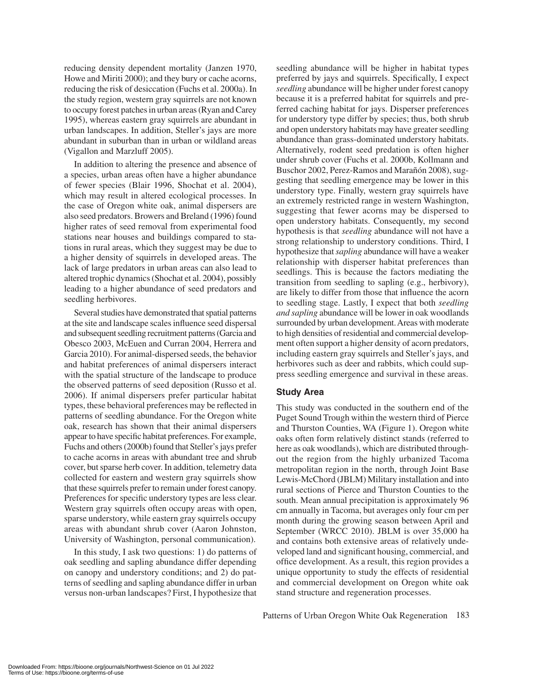reducing density dependent mortality (Janzen 1970, Howe and Miriti 2000); and they bury or cache acorns, reducing the risk of desiccation (Fuchs et al. 2000a). In the study region, western gray squirrels are not known to occupy forest patches in urban areas (Ryan and Carey 1995), whereas eastern gray squirrels are abundant in urban landscapes. In addition, Steller's jays are more abundant in suburban than in urban or wildland areas (Vigallon and Marzluff 2005).

In addition to altering the presence and absence of a species, urban areas often have a higher abundance of fewer species (Blair 1996, Shochat et al. 2004), which may result in altered ecological processes. In the case of Oregon white oak, animal dispersers are also seed predators. Browers and Breland (1996) found higher rates of seed removal from experimental food stations near houses and buildings compared to stations in rural areas, which they suggest may be due to a higher density of squirrels in developed areas. The lack of large predators in urban areas can also lead to altered trophic dynamics (Shochat et al. 2004), possibly leading to a higher abundance of seed predators and seedling herbivores.

Several studies have demonstrated that spatial patterns at the site and landscape scales influence seed dispersal and subsequent seedling recruitment patterns (Garcia and Obesco 2003, McEuen and Curran 2004, Herrera and Garcia 2010). For animal-dispersed seeds, the behavior and habitat preferences of animal dispersers interact with the spatial structure of the landscape to produce the observed patterns of seed deposition (Russo et al. 2006). If animal dispersers prefer particular habitat types, these behavioral preferences may be reflected in patterns of seedling abundance. For the Oregon white oak, research has shown that their animal dispersers appear to have specific habitat preferences. For example, Fuchs and others (2000b) found that Steller's jays prefer to cache acorns in areas with abundant tree and shrub cover, but sparse herb cover. In addition, telemetry data collected for eastern and western gray squirrels show that these squirrels prefer to remain under forest canopy. Preferences for specific understory types are less clear. Western gray squirrels often occupy areas with open, sparse understory, while eastern gray squirrels occupy areas with abundant shrub cover (Aaron Johnston, University of Washington, personal communication).

In this study, I ask two questions: 1) do patterns of oak seedling and sapling abundance differ depending on canopy and understory conditions; and 2) do patterns of seedling and sapling abundance differ in urban versus non-urban landscapes? First, I hypothesize that seedling abundance will be higher in habitat types preferred by jays and squirrels. Specifically, I expect *seedling* abundance will be higher under forest canopy because it is a preferred habitat for squirrels and preferred caching habitat for jays. Disperser preferences for understory type differ by species; thus, both shrub and open understory habitats may have greater seedling abundance than grass-dominated understory habitats. Alternatively, rodent seed predation is often higher under shrub cover (Fuchs et al. 2000b, Kollmann and Buschor 2002, Perez-Ramos and Marañón 2008), suggesting that seedling emergence may be lower in this understory type. Finally, western gray squirrels have an extremely restricted range in western Washington, suggesting that fewer acorns may be dispersed to open understory habitats. Consequently, my second hypothesis is that *seedling* abundance will not have a strong relationship to understory conditions. Third, I hypothesize that *sapling* abundance will have a weaker relationship with disperser habitat preferences than seedlings. This is because the factors mediating the transition from seedling to sapling (e.g., herbivory), are likely to differ from those that influence the acorn to seedling stage. Lastly, I expect that both *seedling and sapling* abundance will be lower in oak woodlands surrounded by urban development. Areas with moderate to high densities of residential and commercial development often support a higher density of acorn predators, including eastern gray squirrels and Steller's jays, and herbivores such as deer and rabbits, which could suppress seedling emergence and survival in these areas.

# **Study Area**

This study was conducted in the southern end of the Puget Sound Trough within the western third of Pierce and Thurston Counties, WA (Figure 1). Oregon white oaks often form relatively distinct stands (referred to here as oak woodlands), which are distributed throughout the region from the highly urbanized Tacoma metropolitan region in the north, through Joint Base Lewis-McChord (JBLM) Military installation and into rural sections of Pierce and Thurston Counties to the south. Mean annual precipitation is approximately 96 cm annually in Tacoma, but averages only four cm per month during the growing season between April and September (WRCC 2010). JBLM is over 35,000 ha and contains both extensive areas of relatively undeveloped land and significant housing, commercial, and office development. As a result, this region provides a unique opportunity to study the effects of residential and commercial development on Oregon white oak stand structure and regeneration processes.

Patterns of Urban Oregon White Oak Regeneration 183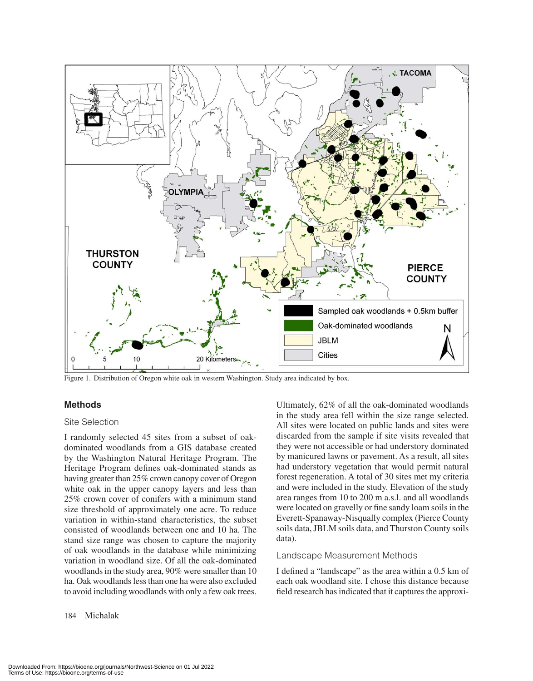

Figure 1. Distribution of Oregon white oak in western Washington. Study area indicated by box.

# **Methods**

#### Site Selection

I randomly selected 45 sites from a subset of oakdominated woodlands from a GIS database created by the Washington Natural Heritage Program. The Heritage Program defines oak-dominated stands as having greater than 25% crown canopy cover of Oregon white oak in the upper canopy layers and less than 25% crown cover of conifers with a minimum stand size threshold of approximately one acre. To reduce variation in within-stand characteristics, the subset consisted of woodlands between one and 10 ha. The stand size range was chosen to capture the majority of oak woodlands in the database while minimizing variation in woodland size. Of all the oak-dominated woodlands in the study area, 90% were smaller than 10 ha. Oak woodlands less than one ha were also excluded to avoid including woodlands with only a few oak trees.

# Ultimately, 62% of all the oak-dominated woodlands in the study area fell within the size range selected. All sites were located on public lands and sites were discarded from the sample if site visits revealed that they were not accessible or had understory dominated by manicured lawns or pavement. As a result, all sites had understory vegetation that would permit natural forest regeneration. A total of 30 sites met my criteria and were included in the study. Elevation of the study area ranges from 10 to 200 m a.s.l. and all woodlands were located on gravelly or fine sandy loam soils in the Everett-Spanaway-Nisqually complex (Pierce County soils data, JBLM soils data, and Thurston County soils data).

#### Landscape Measurement Methods

I defined a "landscape" as the area within a 0.5 km of each oak woodland site. I chose this distance because field research has indicated that it captures the approxi-

#### 184 Michalak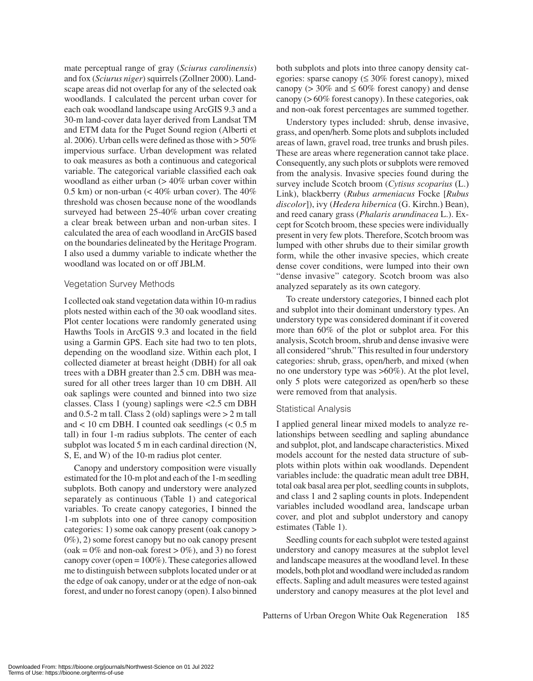mate perceptual range of gray (*Sciurus carolinensis*) and fox (*Sciurus niger*) squirrels (Zollner 2000). Landscape areas did not overlap for any of the selected oak woodlands. I calculated the percent urban cover for each oak woodland landscape using ArcGIS 9.3 and a 30-m land-cover data layer derived from Landsat TM and ETM data for the Puget Sound region (Alberti et al. 2006). Urban cells were defined as those with  $> 50\%$ impervious surface. Urban development was related to oak measures as both a continuous and categorical variable. The categorical variable classified each oak woodland as either urban  $(> 40\%$  urban cover within 0.5 km) or non-urban  $\left($  < 40% urban cover). The 40% threshold was chosen because none of the woodlands surveyed had between 25-40% urban cover creating a clear break between urban and non-urban sites. I calculated the area of each woodland in ArcGIS based on the boundaries delineated by the Heritage Program. I also used a dummy variable to indicate whether the woodland was located on or off JBLM.

#### Vegetation Survey Methods

I collected oak stand vegetation data within 10-m radius plots nested within each of the 30 oak woodland sites. Plot center locations were randomly generated using Hawths Tools in ArcGIS 9.3 and located in the field using a Garmin GPS. Each site had two to ten plots, depending on the woodland size. Within each plot, I collected diameter at breast height (DBH) for all oak trees with a DBH greater than 2.5 cm. DBH was measured for all other trees larger than 10 cm DBH. All oak saplings were counted and binned into two size classes. Class 1 (young) saplings were <2.5 cm DBH and 0.5-2 m tall. Class 2 (old) saplings were > 2 m tall and  $< 10$  cm DBH. I counted oak seedlings  $(< 0.5$  m tall) in four 1-m radius subplots. The center of each subplot was located 5 m in each cardinal direction (N, S, E, and W) of the 10-m radius plot center.

Canopy and understory composition were visually estimated for the 10-m plot and each of the 1-m seedling subplots. Both canopy and understory were analyzed separately as continuous (Table 1) and categorical variables. To create canopy categories, I binned the 1-m subplots into one of three canopy composition categories: 1) some oak canopy present (oak canopy > 0%), 2) some forest canopy but no oak canopy present  $(oak = 0\%$  and non-oak forest  $> 0\%$ ), and 3) no forest canopy cover (open = 100%). These categories allowed me to distinguish between subplots located under or at the edge of oak canopy, under or at the edge of non-oak forest, and under no forest canopy (open). I also binned

both subplots and plots into three canopy density categories: sparse canopy  $(\leq 30\%$  forest canopy), mixed canopy ( $>$  30% and  $\leq$  60% forest canopy) and dense canopy (> 60% forest canopy). In these categories, oak and non-oak forest percentages are summed together.

Understory types included: shrub, dense invasive, grass, and open/herb. Some plots and subplots included areas of lawn, gravel road, tree trunks and brush piles. These are areas where regeneration cannot take place. Consequently, any such plots or subplots were removed from the analysis. Invasive species found during the survey include Scotch broom (*Cytisus scoparius* (L.) Link), blackberry (*Rubus armeniacus* Focke [*Rubus discolor*]), ivy (*Hedera hibernica* (G. Kirchn.) Bean), and reed canary grass (*Phalaris arundinacea* L.). Except for Scotch broom, these species were individually present in very few plots. Therefore, Scotch broom was lumped with other shrubs due to their similar growth form, while the other invasive species, which create dense cover conditions, were lumped into their own "dense invasive" category. Scotch broom was also analyzed separately as its own category.

To create understory categories, I binned each plot and subplot into their dominant understory types. An understory type was considered dominant if it covered more than 60% of the plot or subplot area. For this analysis, Scotch broom, shrub and dense invasive were all considered "shrub." This resulted in four understory categories: shrub, grass, open/herb, and mixed (when no one understory type was >60%). At the plot level, only 5 plots were categorized as open/herb so these were removed from that analysis.

# Statistical Analysis

I applied general linear mixed models to analyze relationships between seedling and sapling abundance and subplot, plot, and landscape characteristics. Mixed models account for the nested data structure of subplots within plots within oak woodlands. Dependent variables include: the quadratic mean adult tree DBH, total oak basal area per plot, seedling counts in subplots, and class 1 and 2 sapling counts in plots. Independent variables included woodland area, landscape urban cover, and plot and subplot understory and canopy estimates (Table 1).

Seedling counts for each subplot were tested against understory and canopy measures at the subplot level and landscape measures at the woodland level. In these models, both plot and woodland were included as random effects. Sapling and adult measures were tested against understory and canopy measures at the plot level and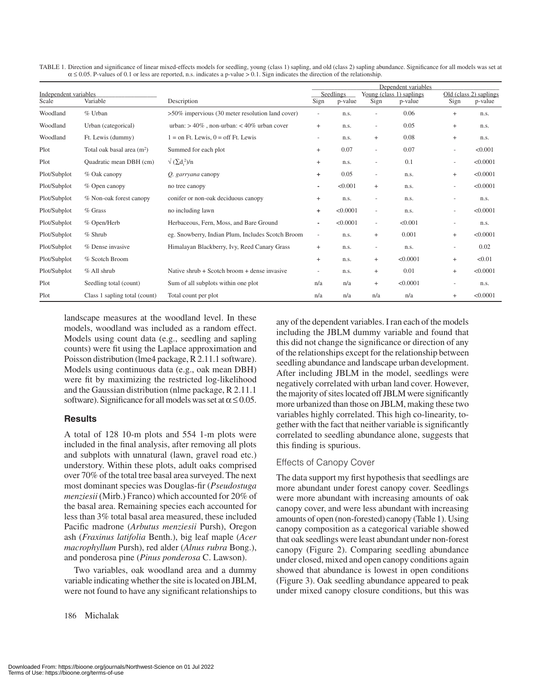|                       |                               |                                                     | Dependent variables      |          |                          |          |                          |                        |  |
|-----------------------|-------------------------------|-----------------------------------------------------|--------------------------|----------|--------------------------|----------|--------------------------|------------------------|--|
| Independent variables |                               |                                                     | Seedlings                |          | Young (class 1) saplings |          |                          | Old (class 2) saplings |  |
| Scale                 | Variable                      | Description                                         | Sign                     | p-value  | Sign                     | p-value  | Sign                     | p-value                |  |
| Woodland              | $%$ Urban                     | $>50\%$ impervious (30 meter resolution land cover) | $\overline{\phantom{a}}$ | n.s.     |                          | 0.06     | $^{+}$                   | n.s.                   |  |
| Woodland              | Urban (categorical)           | urban: $> 40\%$ , non-urban: < 40% urban cover      | $+$                      | n.s.     | $\overline{\phantom{a}}$ | 0.05     | $^{+}$                   | n.s.                   |  |
| Woodland              | Ft. Lewis (dummy)             | $1 =$ on Ft. Lewis, $0 =$ off Ft. Lewis             | $\overline{\phantom{a}}$ | n.s.     | $^{+}$                   | 0.08     | $^{+}$                   | n.s.                   |  |
| Plot                  | Total oak basal area $(m2)$   | Summed for each plot                                | $+$                      | 0.07     | $\overline{\phantom{a}}$ | 0.07     | ۰                        | < 0.001                |  |
| Plot                  | Quadratic mean DBH (cm)       | $\sqrt{(\sum d_i^2)/n}$                             | $+$                      | n.s.     | $\overline{\phantom{a}}$ | 0.1      | ۰                        | < 0.0001               |  |
| Plot/Subplot          | % Oak canopy                  | Q. garryana canopy                                  | $\ddot{}$                | 0.05     | $\overline{\phantom{a}}$ | n.s.     | $+$                      | < 0.0001               |  |
| Plot/Subplot          | $%$ Open canopy               | no tree canopy                                      |                          | < 0.001  | $+$                      | n.s.     | -                        | < 0.0001               |  |
| Plot/Subplot          | % Non-oak forest canopy       | conifer or non-oak deciduous canopy                 | $+$                      | n.s.     |                          | n.s.     | $\overline{\phantom{0}}$ | n.s.                   |  |
| Plot/Subplot          | $%$ Grass                     | no including lawn                                   | $\ddot{}$                | < 0.0001 | $\overline{\phantom{a}}$ | n.s.     |                          | < 0.0001               |  |
| Plot/Subplot          | % Open/Herb                   | Herbaceous, Fern, Moss, and Bare Ground             |                          | < 0.0001 | $\overline{\phantom{a}}$ | < 0.001  | $\overline{\phantom{a}}$ | n.s.                   |  |
| Plot/Subplot          | $%$ Shrub                     | eg. Snowberry, Indian Plum, Includes Scotch Broom   | $\overline{\phantom{a}}$ | n.s.     | $^{+}$                   | 0.001    | $+$                      | < 0.0001               |  |
| Plot/Subplot          | % Dense invasive              | Himalayan Blackberry, Ivy, Reed Canary Grass        | $^{+}$                   | n.s.     | $\overline{\phantom{a}}$ | n.s.     | $\overline{\phantom{a}}$ | 0.02                   |  |
| Plot/Subplot          | % Scotch Broom                |                                                     | $+$                      | n.s.     | $^{+}$                   | < 0.0001 | $^{+}$                   | < 0.01                 |  |
| Plot/Subplot          | % All shrub                   | Native shrub $+$ Scotch broom $+$ dense invasive    | $\overline{\phantom{a}}$ | n.s.     | $\ddot{}$                | 0.01     | $+$                      | < 0.0001               |  |
| Plot                  | Seedling total (count)        | Sum of all subplots within one plot                 | n/a                      | n/a      | $+$                      | < 0.0001 | -                        | n.s.                   |  |
| Plot                  | Class 1 sapling total (count) | Total count per plot                                | n/a                      | n/a      | n/a                      | n/a      | $^{+}$                   | < 0.0001               |  |

TABLE 1. Direction and significance of linear mixed-effects models for seedling, young (class 1) sapling, and old (class 2) sapling abundance. Significance for all models was set at  $\alpha \le 0.05$ . P-values of 0.1 or less are reported, n.s. indicates a p-value > 0.1. Sign indicates the direction of the relationship.

landscape measures at the woodland level. In these models, woodland was included as a random effect. Models using count data (e.g., seedling and sapling counts) were fit using the Laplace approximation and Poisson distribution (lme4 package, R 2.11.1 software). Models using continuous data (e.g., oak mean DBH) were fit by maximizing the restricted log-likelihood and the Gaussian distribution (nlme package, R 2.11.1 software). Significance for all models was set at  $\alpha \leq 0.05$ .

# **Results**

A total of 128 10-m plots and 554 1-m plots were included in the final analysis, after removing all plots and subplots with unnatural (lawn, gravel road etc.) understory. Within these plots, adult oaks comprised over 70% of the total tree basal area surveyed. The next most dominant species was Douglas-fir (*Pseudostuga menziesii* (Mirb.) Franco) which accounted for 20% of the basal area. Remaining species each accounted for less than 3% total basal area measured, these included Pacific madrone (*Arbutus menziesii* Pursh), Oregon ash (*Fraxinus latifolia* Benth.), big leaf maple (*Acer macrophyllum* Pursh), red alder (*Alnus rubra* Bong.), and ponderosa pine (*Pinus ponderosa* C. Lawson).

Two variables, oak woodland area and a dummy variable indicating whether the site is located on JBLM, were not found to have any significant relationships to

186 Michalak

any of the dependent variables. I ran each of the models including the JBLM dummy variable and found that this did not change the significance or direction of any of the relationships except for the relationship between seedling abundance and landscape urban development. After including JBLM in the model, seedlings were negatively correlated with urban land cover. However, the majority of sites located off JBLM were significantly more urbanized than those on JBLM, making these two variables highly correlated. This high co-linearity, together with the fact that neither variable is significantly correlated to seedling abundance alone, suggests that this finding is spurious.

# Effects of Canopy Cover

The data support my first hypothesis that seedlings are more abundant under forest canopy cover. Seedlings were more abundant with increasing amounts of oak canopy cover, and were less abundant with increasing amounts of open (non-forested) canopy (Table 1). Using canopy composition as a categorical variable showed that oak seedlings were least abundant under non-forest canopy (Figure 2). Comparing seedling abundance under closed, mixed and open canopy conditions again showed that abundance is lowest in open conditions (Figure 3). Oak seedling abundance appeared to peak under mixed canopy closure conditions, but this was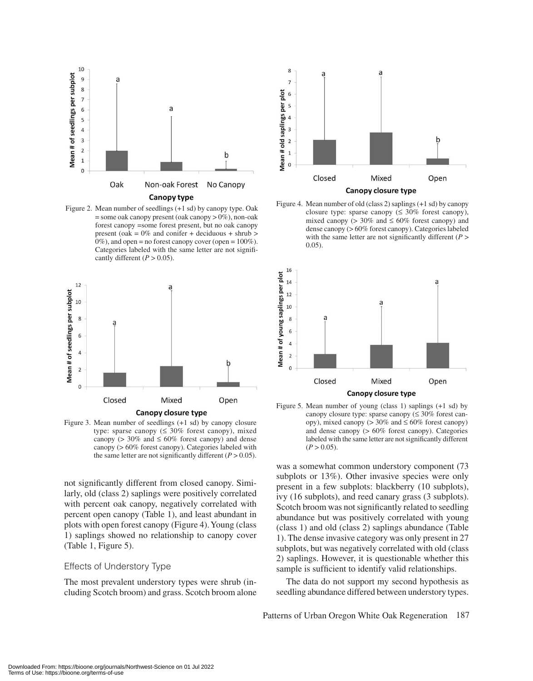

Figure 2. Mean number of seedlings (+1 sd) by canopy type. Oak  $=$  some oak canopy present (oak canopy  $> 0\%$ ), non-oak forest canopy =some forest present, but no oak canopy present (oak =  $0\%$  and conifer + deciduous + shrub > 0%), and open = no forest canopy cover (open = 100%). Categories labeled with the same letter are not significantly different  $(P > 0.05)$ .



Figure 3. Mean number of seedlings (+1 sd) by canopy closure type: sparse canopy  $( \leq 30\%$  forest canopy), mixed canopy ( $> 30\%$  and  $\leq 60\%$  forest canopy) and dense canopy (> 60% forest canopy). Categories labeled with the same letter are not significantly different  $(P > 0.05)$ .

not significantly different from closed canopy. Similarly, old (class 2) saplings were positively correlated with percent oak canopy, negatively correlated with percent open canopy (Table 1), and least abundant in plots with open forest canopy (Figure 4). Young (class 1) saplings showed no relationship to canopy cover (Table 1, Figure 5).

# Effects of Understory Type

The most prevalent understory types were shrub (including Scotch broom) and grass. Scotch broom alone



Figure 4. Mean number of old (class 2) saplings (+1 sd) by canopy closure type: sparse canopy ( $\leq 30\%$  forest canopy), mixed canopy ( $> 30\%$  and  $\leq 60\%$  forest canopy) and dense canopy (> 60% forest canopy). Categories labeled with the same letter are not significantly different (*P* > 0.05).



Figure 5. Mean number of young (class 1) saplings (+1 sd) by canopy closure type: sparse canopy  $(\leq 30\%$  forest canopy), mixed canopy ( $> 30\%$  and  $\leq 60\%$  forest canopy) and dense canopy (> 60% forest canopy). Categories labeled with the same letter are not significantly different  $(P > 0.05)$ .

was a somewhat common understory component (73 subplots or 13%). Other invasive species were only present in a few subplots: blackberry (10 subplots), ivy (16 subplots), and reed canary grass (3 subplots). Scotch broom was not significantly related to seedling abundance but was positively correlated with young (class 1) and old (class 2) saplings abundance (Table 1). The dense invasive category was only present in 27 subplots, but was negatively correlated with old (class 2) saplings. However, it is questionable whether this sample is sufficient to identify valid relationships.

The data do not support my second hypothesis as seedling abundance differed between understory types.

Patterns of Urban Oregon White Oak Regeneration 187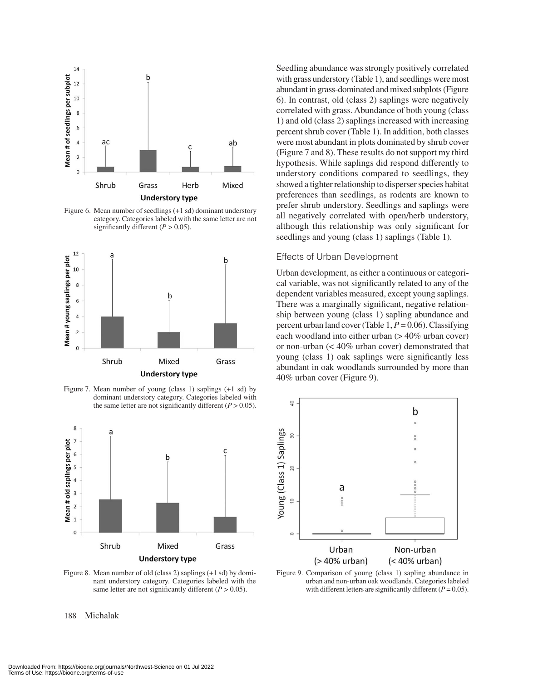

Figure 6. Mean number of seedlings (+1 sd) dominant understory category. Categories labeled with the same letter are not significantly different  $(P > 0.05)$ .



Figure 7. Mean number of young (class 1) saplings (+1 sd) by dominant understory category. Categories labeled with the same letter are not significantly different  $(P > 0.05)$ .



Figure 8. Mean number of old (class 2) saplings (+1 sd) by dominant understory category. Categories labeled with the same letter are not significantly different  $(P > 0.05)$ .

Seedling abundance was strongly positively correlated with grass understory (Table 1), and seedlings were most abundant in grass-dominated and mixed subplots (Figure 6). In contrast, old (class 2) saplings were negatively correlated with grass. Abundance of both young (class 1) and old (class 2) saplings increased with increasing percent shrub cover (Table 1). In addition, both classes were most abundant in plots dominated by shrub cover (Figure 7 and 8). These results do not support my third hypothesis. While saplings did respond differently to understory conditions compared to seedlings, they showed a tighter relationship to disperser species habitat preferences than seedlings, as rodents are known to prefer shrub understory. Seedlings and saplings were all negatively correlated with open/herb understory, although this relationship was only significant for seedlings and young (class 1) saplings (Table 1).

#### Effects of Urban Development

Urban development, as either a continuous or categorical variable, was not significantly related to any of the dependent variables measured, except young saplings. There was a marginally significant, negative relationship between young (class 1) sapling abundance and percent urban land cover (Table 1, *P* = 0.06). Classifying each woodland into either urban (> 40% urban cover) or non-urban (< 40% urban cover) demonstrated that young (class 1) oak saplings were significantly less abundant in oak woodlands surrounded by more than 40% urban cover (Figure 9).



Figure 9. Comparison of young (class 1) sapling abundance in urban and non-urban oak woodlands. Categories labeled with different letters are significantly different  $(P = 0.05)$ .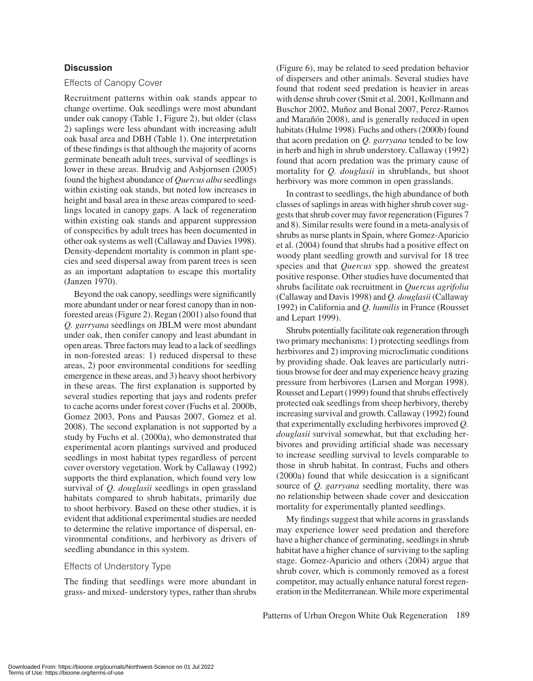# **Discussion**

# Effects of Canopy Cover

Recruitment patterns within oak stands appear to change overtime. Oak seedlings were most abundant under oak canopy (Table 1, Figure 2), but older (class 2) saplings were less abundant with increasing adult oak basal area and DBH (Table 1). One interpretation of these findings is that although the majority of acorns germinate beneath adult trees, survival of seedlings is lower in these areas. Brudvig and Asbjornsen (2005) found the highest abundance of *Quercus alba* seedlings within existing oak stands, but noted low increases in height and basal area in these areas compared to seedlings located in canopy gaps. A lack of regeneration within existing oak stands and apparent suppression of conspecifics by adult trees has been documented in other oak systems as well (Callaway and Davies 1998). Density-dependent mortality is common in plant species and seed dispersal away from parent trees is seen as an important adaptation to escape this mortality (Janzen 1970).

Beyond the oak canopy, seedlings were significantly more abundant under or near forest canopy than in nonforested areas (Figure 2). Regan (2001) also found that *Q. garryana* seedlings on JBLM were most abundant under oak, then conifer canopy and least abundant in open areas. Three factors may lead to a lack of seedlings in non-forested areas: 1) reduced dispersal to these areas, 2) poor environmental conditions for seedling emergence in these areas, and 3) heavy shoot herbivory in these areas. The first explanation is supported by several studies reporting that jays and rodents prefer to cache acorns under forest cover (Fuchs et al. 2000b, Gomez 2003, Pons and Pausas 2007, Gomez et al. 2008). The second explanation is not supported by a study by Fuchs et al. (2000a), who demonstrated that experimental acorn plantings survived and produced seedlings in most habitat types regardless of percent cover overstory vegetation. Work by Callaway (1992) supports the third explanation, which found very low survival of *Q. douglasii* seedlings in open grassland habitats compared to shrub habitats, primarily due to shoot herbivory. Based on these other studies, it is evident that additional experimental studies are needed to determine the relative importance of dispersal, environmental conditions, and herbivory as drivers of seedling abundance in this system.

#### Effects of Understory Type

The finding that seedlings were more abundant in grass- and mixed- understory types, rather than shrubs

(Figure 6), may be related to seed predation behavior of dispersers and other animals. Several studies have found that rodent seed predation is heavier in areas with dense shrub cover (Smit et al. 2001, Kollmann and Buschor 2002, Muñoz and Bonal 2007, Perez-Ramos and Marañón 2008), and is generally reduced in open habitats (Hulme 1998). Fuchs and others (2000b) found that acorn predation on *Q. garryana* tended to be low in herb and high in shrub understory. Callaway (1992) found that acorn predation was the primary cause of mortality for *Q. douglasii* in shrublands, but shoot herbivory was more common in open grasslands.

In contrast to seedlings, the high abundance of both classes of saplings in areas with higher shrub cover suggests that shrub cover may favor regeneration (Figures 7 and 8). Similar results were found in a meta-analysis of shrubs as nurse plants in Spain, where Gomez-Aparicio et al. (2004) found that shrubs had a positive effect on woody plant seedling growth and survival for 18 tree species and that *Quercus* spp. showed the greatest positive response. Other studies have documented that shrubs facilitate oak recruitment in *Quercus agrifolia* (Callaway and Davis 1998) and *Q. douglasii* (Callaway 1992) in California and *Q. humilis* in France (Rousset and Lepart 1999).

Shrubs potentially facilitate oak regeneration through two primary mechanisms: 1) protecting seedlings from herbivores and 2) improving microclimatic conditions by providing shade. Oak leaves are particularly nutritious browse for deer and may experience heavy grazing pressure from herbivores (Larsen and Morgan 1998). Rousset and Lepart (1999) found that shrubs effectively protected oak seedlings from sheep herbivory, thereby increasing survival and growth. Callaway (1992) found that experimentally excluding herbivores improved *Q. douglasii* survival somewhat, but that excluding herbivores and providing artificial shade was necessary to increase seedling survival to levels comparable to those in shrub habitat. In contrast, Fuchs and others (2000a) found that while desiccation is a significant source of *Q. garryana* seedling mortality, there was no relationship between shade cover and desiccation mortality for experimentally planted seedlings.

My findings suggest that while acorns in grasslands may experience lower seed predation and therefore have a higher chance of germinating, seedlings in shrub habitat have a higher chance of surviving to the sapling stage. Gomez-Aparicio and others (2004) argue that shrub cover, which is commonly removed as a forest competitor, may actually enhance natural forest regeneration in the Mediterranean. While more experimental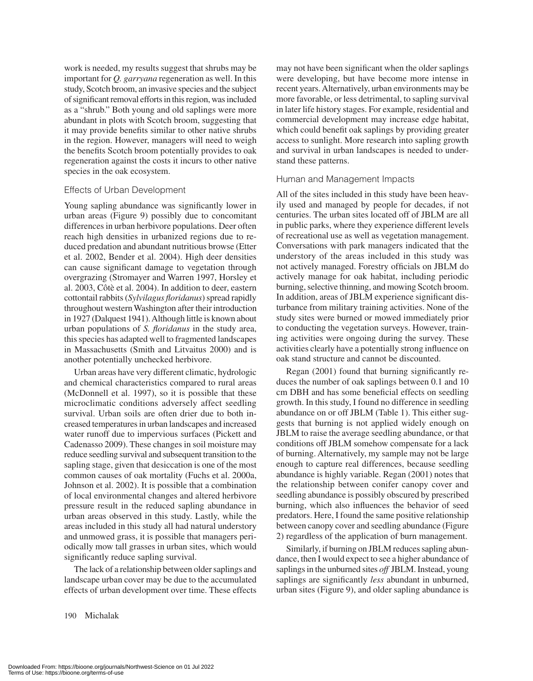work is needed, my results suggest that shrubs may be important for *Q. garryana* regeneration as well. In this study, Scotch broom, an invasive species and the subject of significant removal efforts in this region, was included as a "shrub." Both young and old saplings were more abundant in plots with Scotch broom, suggesting that it may provide benefits similar to other native shrubs in the region. However, managers will need to weigh the benefits Scotch broom potentially provides to oak regeneration against the costs it incurs to other native species in the oak ecosystem.

#### Effects of Urban Development

Young sapling abundance was significantly lower in urban areas (Figure 9) possibly due to concomitant differences in urban herbivore populations. Deer often reach high densities in urbanized regions due to reduced predation and abundant nutritious browse (Etter et al. 2002, Bender et al. 2004). High deer densities can cause significant damage to vegetation through overgrazing (Stromayer and Warren 1997, Horsley et al. 2003, Côtè et al. 2004). In addition to deer, eastern cottontail rabbits (*Sylvilagus floridanus*) spread rapidly throughout western Washington after their introduction in 1927 (Dalquest 1941). Although little is known about urban populations of *S. floridanus* in the study area, this species has adapted well to fragmented landscapes in Massachusetts (Smith and Litvaitus 2000) and is another potentially unchecked herbivore.

Urban areas have very different climatic, hydrologic and chemical characteristics compared to rural areas (McDonnell et al. 1997), so it is possible that these microclimatic conditions adversely affect seedling survival. Urban soils are often drier due to both increased temperatures in urban landscapes and increased water runoff due to impervious surfaces (Pickett and Cadenasso 2009). These changes in soil moisture may reduce seedling survival and subsequent transition to the sapling stage, given that desiccation is one of the most common causes of oak mortality (Fuchs et al. 2000a, Johnson et al. 2002). It is possible that a combination of local environmental changes and altered herbivore pressure result in the reduced sapling abundance in urban areas observed in this study. Lastly, while the areas included in this study all had natural understory and unmowed grass, it is possible that managers periodically mow tall grasses in urban sites, which would significantly reduce sapling survival.

The lack of a relationship between older saplings and landscape urban cover may be due to the accumulated effects of urban development over time. These effects

may not have been significant when the older saplings were developing, but have become more intense in recent years. Alternatively, urban environments may be more favorable, or less detrimental, to sapling survival in later life history stages. For example, residential and commercial development may increase edge habitat, which could benefit oak saplings by providing greater access to sunlight. More research into sapling growth and survival in urban landscapes is needed to understand these patterns.

#### Human and Management Impacts

All of the sites included in this study have been heavily used and managed by people for decades, if not centuries. The urban sites located off of JBLM are all in public parks, where they experience different levels of recreational use as well as vegetation management. Conversations with park managers indicated that the understory of the areas included in this study was not actively managed. Forestry officials on JBLM do actively manage for oak habitat, including periodic burning, selective thinning, and mowing Scotch broom. In addition, areas of JBLM experience significant disturbance from military training activities. None of the study sites were burned or mowed immediately prior to conducting the vegetation surveys. However, training activities were ongoing during the survey. These activities clearly have a potentially strong influence on oak stand structure and cannot be discounted.

Regan (2001) found that burning significantly reduces the number of oak saplings between 0.1 and 10 cm DBH and has some beneficial effects on seedling growth. In this study, I found no difference in seedling abundance on or off JBLM (Table 1). This either suggests that burning is not applied widely enough on JBLM to raise the average seedling abundance, or that conditions off JBLM somehow compensate for a lack of burning. Alternatively, my sample may not be large enough to capture real differences, because seedling abundance is highly variable. Regan (2001) notes that the relationship between conifer canopy cover and seedling abundance is possibly obscured by prescribed burning, which also influences the behavior of seed predators. Here, I found the same positive relationship between canopy cover and seedling abundance (Figure 2) regardless of the application of burn management.

Similarly, if burning on JBLM reduces sapling abundance, then I would expect to see a higher abundance of saplings in the unburned sites *off* JBLM. Instead, young saplings are significantly *less* abundant in unburned, urban sites (Figure 9), and older sapling abundance is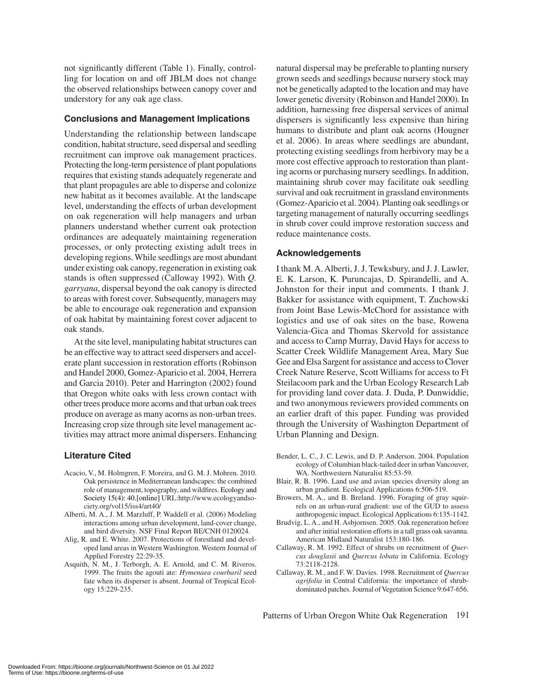not significantly different (Table 1). Finally, controlling for location on and off JBLM does not change the observed relationships between canopy cover and understory for any oak age class.

# **Conclusions and Management Implications**

Understanding the relationship between landscape condition, habitat structure, seed dispersal and seedling recruitment can improve oak management practices. Protecting the long-term persistence of plant populations requires that existing stands adequately regenerate and that plant propagules are able to disperse and colonize new habitat as it becomes available. At the landscape level, understanding the effects of urban development on oak regeneration will help managers and urban planners understand whether current oak protection ordinances are adequately maintaining regeneration processes, or only protecting existing adult trees in developing regions. While seedlings are most abundant under existing oak canopy, regeneration in existing oak stands is often suppressed (Calloway 1992). With *Q. garryana*, dispersal beyond the oak canopy is directed to areas with forest cover. Subsequently, managers may be able to encourage oak regeneration and expansion of oak habitat by maintaining forest cover adjacent to oak stands.

At the site level, manipulating habitat structures can be an effective way to attract seed dispersers and accelerate plant succession in restoration efforts (Robinson and Handel 2000, Gomez-Aparicio et al. 2004, Herrera and Garcia 2010). Peter and Harrington (2002) found that Oregon white oaks with less crown contact with other trees produce more acorns and that urban oak trees produce on average as many acorns as non-urban trees. Increasing crop size through site level management activities may attract more animal dispersers. Enhancing

#### **Literature Cited**

- Acacio, V., M. Holmgren, F. Moreira, and G. M. J. Mohren. 2010. Oak persistence in Mediterranean landscapes: the combined role of management, topography, and wildfires. Ecology and Society 15(4): 40.[online] URL:http://www.ecologyandsociety.org/vol15/iss4/art40/
- Alberti, M. A., J. M. Marzluff, P. Waddell et al. (2006) Modeling interactions among urban development, land-cover change, and bird diversity. NSF Final Report BE/CNH 0120024.
- Alig, R. and E. White. 2007. Protections of forestland and developed land areas in Western Washington. Western Journal of Applied Forestry 22:29-35.
- Asquith, N. M., J. Terborgh, A. E. Arnold, and C. M. Riveros. 1999. The fruits the agouti ate: *Hymenaea courbaril* seed fate when its disperser is absent. Journal of Tropical Ecology 15:229-235.

natural dispersal may be preferable to planting nursery grown seeds and seedlings because nursery stock may not be genetically adapted to the location and may have lower genetic diversity (Robinson and Handel 2000). In addition, harnessing free dispersal services of animal dispersers is significantly less expensive than hiring humans to distribute and plant oak acorns (Hougner et al. 2006). In areas where seedlings are abundant, protecting existing seedlings from herbivory may be a more cost effective approach to restoration than planting acorns or purchasing nursery seedlings. In addition, maintaining shrub cover may facilitate oak seedling survival and oak recruitment in grassland environments (Gomez-Aparicio et al. 2004). Planting oak seedlings or targeting management of naturally occurring seedlings in shrub cover could improve restoration success and reduce maintenance costs.

# **Acknowledgements**

I thank M. A. Alberti, J. J. Tewksbury, and J. J. Lawler, E. K. Larson, K. Puruncajas, D. Spirandelli, and A. Johnston for their input and comments. I thank J. Bakker for assistance with equipment, T. Zuchowski from Joint Base Lewis-McChord for assistance with logistics and use of oak sites on the base, Rowena Valencia-Gica and Thomas Skervold for assistance and access to Camp Murray, David Hays for access to Scatter Creek Wildlife Management Area, Mary Sue Gee and Elsa Sargent for assistance and access to Clover Creek Nature Reserve, Scott Williams for access to Ft Steilacoom park and the Urban Ecology Research Lab for providing land cover data. J. Duda, P. Dunwiddie, and two anonymous reviewers provided comments on an earlier draft of this paper. Funding was provided through the University of Washington Department of Urban Planning and Design.

- Bender, L. C., J. C. Lewis, and D. P. Anderson. 2004. Population ecology of Columbian black-tailed deer in urban Vancouver, WA. Northwestern Naturalist 85:53-59.
- Blair, R. B. 1996. Land use and avian species diversity along an urban gradient. Ecological Applications 6:506-519.
- Browers, M. A., and B. Breland. 1996. Foraging of gray squirrels on an urban-rural gradient: use of the GUD to assess anthropogenic impact. Ecological Applications 6:135-1142.
- Brudvig, L. A., and H. Asbjornsen. 2005. Oak regeneration before and after initial restoration efforts in a tall grass oak savanna. American Midland Naturalist 153:180-186.
- Callaway, R. M. 1992. Effect of shrubs on recruitment of *Quercus douglasii* and *Quercus lobata* in California. Ecology 73:2118-2128.
- Callaway, R. M., and F. W. Davies. 1998. Recruitment of *Quercus agrifolia* in Central California: the importance of shrubdominated patches. Journal of Vegetation Science 9:647-656.

Patterns of Urban Oregon White Oak Regeneration 191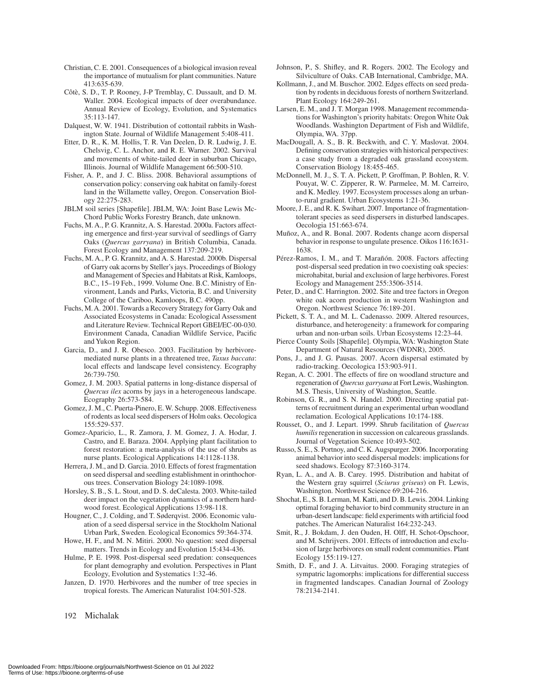- Christian, C. E. 2001. Consequences of a biological invasion reveal the importance of mutualism for plant communities. Nature 413:635-639.
- Côtè, S. D., T. P. Rooney, J-P Tremblay, C. Dussault, and D. M. Waller. 2004. Ecological impacts of deer overabundance. Annual Review of Ecology, Evolution, and Systematics 35:113-147.
- Dalquest, W. W. 1941. Distribution of cottontail rabbits in Washington State. Journal of Wildlife Management 5:408-411.
- Etter, D. R., K. M. Hollis, T. R. Van Deelen, D. R. Ludwig, J. E. Chelsvig, C. L. Anchor, and R. E. Warner. 2002. Survival and movements of white-tailed deer in suburban Chicago, Illinois. Journal of Wildlife Management 66:500-510.
- Fisher, A. P., and J. C. Bliss. 2008. Behavioral assumptions of conservation policy: conserving oak habitat on family-forest land in the Willamette valley, Oregon. Conservation Biology 22:275-283.
- JBLM soil series [Shapefile]. JBLM, WA: Joint Base Lewis Mc-Chord Public Works Forestry Branch, date unknown.
- Fuchs, M. A., P. G. Krannitz, A. S. Harestad. 2000a. Factors affecting emergence and first-year survival of seedlings of Garry Oaks (*Quercus garryana*) in British Columbia, Canada. Forest Ecology and Management 137:209-219.
- Fuchs, M. A., P. G. Krannitz, and A. S. Harestad. 2000b. Dispersal of Garry oak acorns by Steller's jays. Proceedings of Biology and Management of Species and Habitats at Risk, Kamloops, B.C., 15–19 Feb., 1999. Volume One. B.C. Ministry of Environment, Lands and Parks, Victoria, B.C. and University College of the Cariboo, Kamloops, B.C. 490pp.
- Fuchs, M. A. 2001. Towards a Recovery Strategy for Garry Oak and Associated Ecosystems in Canada: Ecological Assessment and Literature Review. Technical Report GBEI/EC-00-030. Environment Canada, Canadian Wildlife Service, Pacific and Yukon Region.
- Garcia, D., and J. R. Obesco. 2003. Facilitation by herbivoremediated nurse plants in a threatened tree, *Taxus baccata*: local effects and landscape level consistency. Ecography 26:739-750.
- Gomez, J. M. 2003. Spatial patterns in long-distance dispersal of *Quercus ilex* acorns by jays in a heterogeneous landscape. Ecography 26:573-584.
- Gomez, J. M., C. Puerta-Pinero, E. W. Schupp. 2008. Effectiveness of rodents as local seed dispersers of Holm oaks. Oecologica 155:529-537.
- Gomez-Aparicio, L., R. Zamora, J. M. Gomez, J. A. Hodar, J. Castro, and E. Baraza. 2004. Applying plant facilitation to forest restoration: a meta-analysis of the use of shrubs as nurse plants. Ecological Applications 14:1128-1138.
- Herrera, J. M., and D. Garcia. 2010. Effects of forest fragmentation on seed dispersal and seedling establishment in orinthochorous trees. Conservation Biology 24:1089-1098.
- Horsley, S. B., S. L. Stout, and D. S. deCalesta. 2003. White-tailed deer impact on the vegetation dynamics of a northern hardwood forest. Ecological Applications 13:98-118.
- Hougner, C., J. Colding, and T. Søderqvist. 2006. Economic valuation of a seed dispersal service in the Stockholm National Urban Park, Sweden. Ecological Economics 59:364-374.
- Howe, H. F., and M. N. Mitiri. 2000. No question: seed dispersal matters. Trends in Ecology and Evolution 15:434-436.
- Hulme, P. E. 1998. Post-dispersal seed predation: consequences for plant demography and evolution. Perspectives in Plant Ecology, Evolution and Systematics 1:32-46.
- Janzen, D. 1970. Herbivores and the number of tree species in tropical forests. The American Naturalist 104:501-528.

192 Michalak

- Johnson, P., S. Shifley, and R. Rogers. 2002. The Ecology and Silviculture of Oaks. CAB International, Cambridge, MA.
- Kollmann, J., and M. Buschor. 2002. Edges effects on seed predation by rodents in deciduous forests of northern Switzerland. Plant Ecology 164:249-261.
- Larsen, E. M., and J. T. Morgan 1998. Management recommendations for Washington's priority habitats: Oregon White Oak Woodlands. Washington Department of Fish and Wildlife, Olympia, WA. 37pp.
- MacDougall, A. S., B. R. Beckwith, and C. Y. Maslovat. 2004. Defining conservation strategies with historical perspectives: a case study from a degraded oak grassland ecosystem. Conservation Biology 18:455-465.
- McDonnell, M. J., S. T. A. Pickett, P. Groffman, P. Bohlen, R. V. Pouyat, W. C. Zipperer, R. W. Parmelee, M. M. Carreiro, and K. Medley. 1997. Ecosystem processes along an urbanto-rural gradient. Urban Ecosystems 1:21-36.
- Moore, J. E., and R. K. Swihart. 2007. Importance of fragmentationtolerant species as seed dispersers in disturbed landscapes. Oecologia 151:663-674.
- Muñoz, A., and R. Bonal. 2007. Rodents change acorn dispersal behavior in response to ungulate presence. Oikos 116:1631- 1638.
- Pérez-Ramos, I. M., and T. Marañón. 2008. Factors affecting post-dispersal seed predation in two coexisting oak species: microhabitat, burial and exclusion of large herbivores. Forest Ecology and Management 255:3506-3514.
- Peter, D., and C. Harrington. 2002. Site and tree factors in Oregon white oak acorn production in western Washington and Oregon. Northwest Science 76:189-201.
- Pickett, S. T. A., and M. L. Cadenasso. 2009. Altered resources, disturbance, and heterogeneity: a framework for comparing urban and non-urban soils. Urban Ecosystems 12:23-44.
- Pierce County Soils [Shapefile]. Olympia, WA: Washington State Department of Natural Resources (WDNR), 2005.
- Pons, J., and J. G. Pausas. 2007. Acorn dispersal estimated by radio-tracking. Oecologica 153:903-911.
- Regan, A. C. 2001. The effects of fire on woodland structure and regeneration of *Quercus garryana* at Fort Lewis, Washington. M.S. Thesis, University of Washington, Seattle.
- Robinson, G. R., and S. N. Handel. 2000. Directing spatial patterns of recruitment during an experimental urban woodland reclamation. Ecological Applications 10:174-188.
- Rousset, O., and J. Lepart. 1999. Shrub facilitation of *Quercus humilis* regeneration in succession on calcareous grasslands. Journal of Vegetation Science 10:493-502.
- Russo, S. E., S. Portnoy, and C. K. Augspurger. 2006. Incorporating animal behavior into seed dispersal models: implications for seed shadows. Ecology 87:3160-3174.
- Ryan, L. A., and A. B. Carey. 1995. Distribution and habitat of the Western gray squirrel (*Sciurus griseus*) on Ft. Lewis, Washington. Northwest Science 69:204-216.
- Shochat, E., S. B. Lerman, M. Katti, and D. B. Lewis. 2004. Linking optimal foraging behavior to bird community structure in an urban-desert landscape: field experiments with artificial food patches. The American Naturalist 164:232-243.
- Smit, R., J. Bokdam, J. den Ouden, H. Olff, H. Schot-Opschoor, and M. Schrijvers. 2001. Effects of introduction and exclusion of large herbivores on small rodent communities. Plant Ecology 155:119-127.
- Smith, D. F., and J. A. Litvaitus. 2000. Foraging strategies of sympatric lagomorphs: implications for differential success in fragmented landscapes. Canadian Journal of Zoology 78:2134-2141.